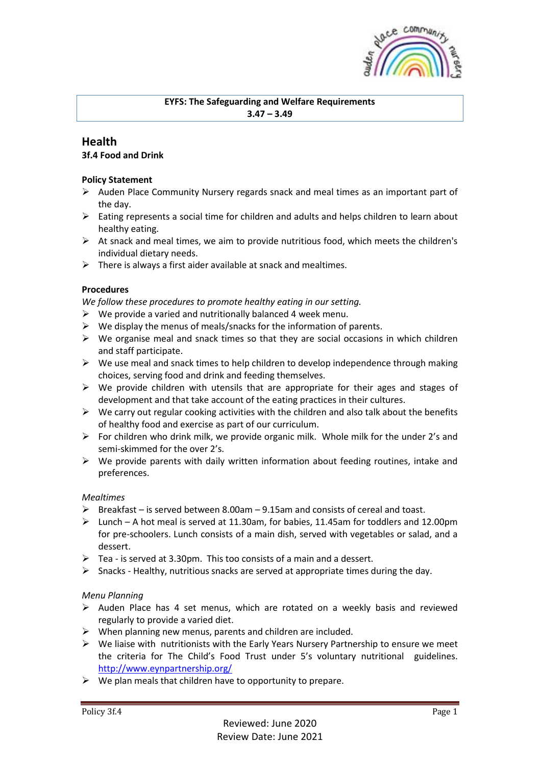

# **EYFS: The Safeguarding and Welfare Requirements 3.47 – 3.49**

# **Health**

# **3f.4 Food and Drink**

#### **Policy Statement**

- $\triangleright$  Auden Place Community Nursery regards snack and meal times as an important part of the day.
- $\triangleright$  Eating represents a social time for children and adults and helps children to learn about healthy eating.
- $\triangleright$  At snack and meal times, we aim to provide nutritious food, which meets the children's individual dietary needs.
- $\triangleright$  There is always a first aider available at snack and mealtimes.

#### **Procedures**

*We follow these procedures to promote healthy eating in our setting.*

- $\triangleright$  We provide a varied and nutritionally balanced 4 week menu.
- $\triangleright$  We display the menus of meals/snacks for the information of parents.
- $\triangleright$  We organise meal and snack times so that they are social occasions in which children and staff participate.
- $\triangleright$  We use meal and snack times to help children to develop independence through making choices, serving food and drink and feeding themselves.
- $\triangleright$  We provide children with utensils that are appropriate for their ages and stages of development and that take account of the eating practices in their cultures.
- $\triangleright$  We carry out regular cooking activities with the children and also talk about the benefits of healthy food and exercise as part of our curriculum.
- $\triangleright$  For children who drink milk, we provide organic milk. Whole milk for the under 2's and semi-skimmed for the over 2's.
- $\triangleright$  We provide parents with daily written information about feeding routines, intake and preferences.

# *Mealtimes*

- $\triangleright$  Breakfast is served between 8.00am 9.15am and consists of cereal and toast.
- ➢ Lunch A hot meal is served at 11.30am, for babies, 11.45am for toddlers and 12.00pm for pre-schoolers. Lunch consists of a main dish, served with vegetables or salad, and a dessert.
- $\triangleright$  Tea is served at 3.30pm. This too consists of a main and a dessert.
- $\triangleright$  Snacks Healthy, nutritious snacks are served at appropriate times during the day.

# *Menu Planning*

- $\triangleright$  Auden Place has 4 set menus, which are rotated on a weekly basis and reviewed regularly to provide a varied diet.
- $\triangleright$  When planning new menus, parents and children are included.
- $\triangleright$  We liaise with nutritionists with the Early Years Nursery Partnership to ensure we meet the criteria for The Child's Food Trust under 5's voluntary nutritional guidelines. <http://www.eynpartnership.org/>
- $\triangleright$  We plan meals that children have to opportunity to prepare.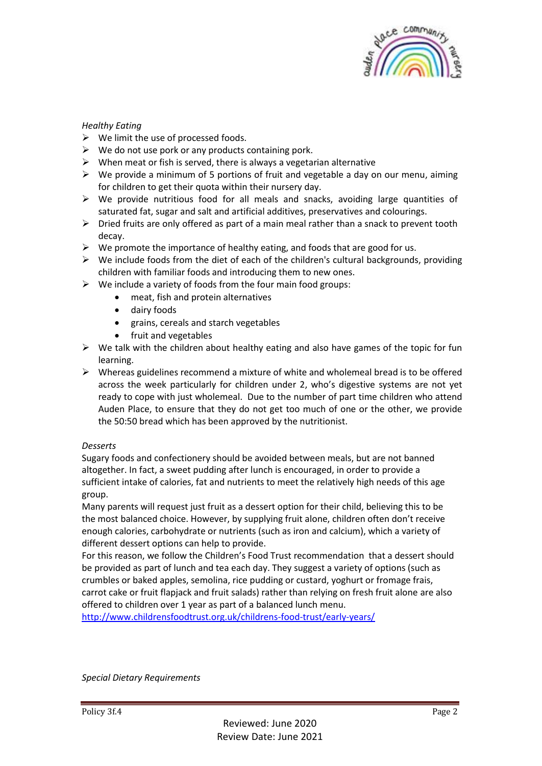

#### *Healthy Eating*

- $\triangleright$  We limit the use of processed foods.
- $\triangleright$  We do not use pork or any products containing pork.
- $\triangleright$  When meat or fish is served, there is always a vegetarian alternative
- $\triangleright$  We provide a minimum of 5 portions of fruit and vegetable a day on our menu, aiming for children to get their quota within their nursery day.
- $\triangleright$  We provide nutritious food for all meals and snacks, avoiding large quantities of saturated fat, sugar and salt and artificial additives, preservatives and colourings.
- $\triangleright$  Dried fruits are only offered as part of a main meal rather than a snack to prevent tooth decay.
- $\triangleright$  We promote the importance of healthy eating, and foods that are good for us.
- $\triangleright$  We include foods from the diet of each of the children's cultural backgrounds, providing children with familiar foods and introducing them to new ones.
- $\triangleright$  We include a variety of foods from the four main food groups:
	- meat, fish and protein alternatives
	- dairy foods
	- grains, cereals and starch vegetables
	- fruit and vegetables
- $\triangleright$  We talk with the children about healthy eating and also have games of the topic for fun learning.
- $\triangleright$  Whereas guidelines recommend a mixture of white and wholemeal bread is to be offered across the week particularly for children under 2, who's digestive systems are not yet ready to cope with just wholemeal. Due to the number of part time children who attend Auden Place, to ensure that they do not get too much of one or the other, we provide the 50:50 bread which has been approved by the nutritionist.

#### *Desserts*

Sugary foods and confectionery should be avoided between meals, but are not banned altogether. In fact, a sweet pudding after lunch is encouraged, in order to provide a sufficient intake of calories, fat and nutrients to meet the relatively high needs of this age group.

Many parents will request just fruit as a dessert option for their child, believing this to be the most balanced choice. However, by supplying fruit alone, children often don't receive enough calories, carbohydrate or nutrients (such as iron and calcium), which a variety of different dessert options can help to provide.

For this reason, we follow the Children's Food Trust recommendation that a dessert should be provided as part of lunch and tea each day. They suggest a variety of options (such as crumbles or baked apples, semolina, rice pudding or custard, yoghurt or fromage frais, carrot cake or fruit flapjack and fruit salads) rather than relying on fresh fruit alone are also offered to children over 1 year as part of a balanced lunch menu.

<http://www.childrensfoodtrust.org.uk/childrens-food-trust/early-years/>

*Special Dietary Requirements*